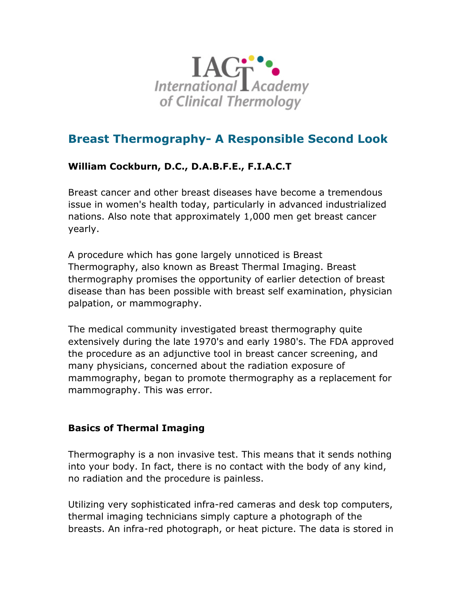

# **Breast Thermography- A Responsible Second Look**

# **William Cockburn, D.C., D.A.B.F.E., F.I.A.C.T**

Breast cancer and other breast diseases have become a tremendous issue in women's health today, particularly in advanced industrialized nations. Also note that approximately 1,000 men get breast cancer yearly.

A procedure which has gone largely unnoticed is Breast Thermography, also known as Breast Thermal Imaging. Breast thermography promises the opportunity of earlier detection of breast disease than has been possible with breast self examination, physician palpation, or mammography.

The medical community investigated breast thermography quite extensively during the late 1970's and early 1980's. The FDA approved the procedure as an adjunctive tool in breast cancer screening, and many physicians, concerned about the radiation exposure of mammography, began to promote thermography as a replacement for mammography. This was error.

## **Basics of Thermal Imaging**

Thermography is a non invasive test. This means that it sends nothing into your body. In fact, there is no contact with the body of any kind, no radiation and the procedure is painless.

Utilizing very sophisticated infra-red cameras and desk top computers, thermal imaging technicians simply capture a photograph of the breasts. An infra-red photograph, or heat picture. The data is stored in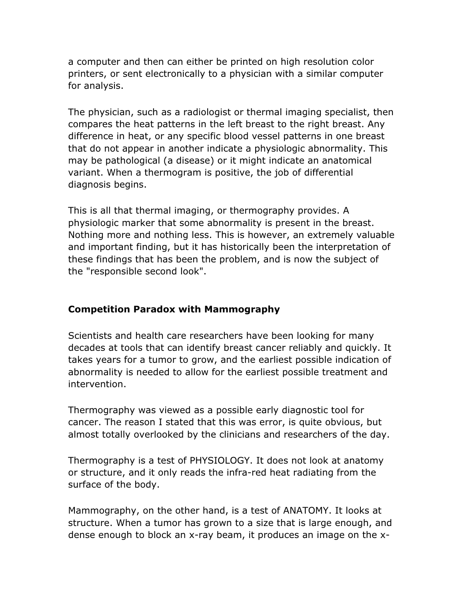a computer and then can either be printed on high resolution color printers, or sent electronically to a physician with a similar computer for analysis.

The physician, such as a radiologist or thermal imaging specialist, then compares the heat patterns in the left breast to the right breast. Any difference in heat, or any specific blood vessel patterns in one breast that do not appear in another indicate a physiologic abnormality. This may be pathological (a disease) or it might indicate an anatomical variant. When a thermogram is positive, the job of differential diagnosis begins.

This is all that thermal imaging, or thermography provides. A physiologic marker that some abnormality is present in the breast. Nothing more and nothing less. This is however, an extremely valuable and important finding, but it has historically been the interpretation of these findings that has been the problem, and is now the subject of the "responsible second look".

#### **Competition Paradox with Mammography**

Scientists and health care researchers have been looking for many decades at tools that can identify breast cancer reliably and quickly. It takes years for a tumor to grow, and the earliest possible indication of abnormality is needed to allow for the earliest possible treatment and intervention.

Thermography was viewed as a possible early diagnostic tool for cancer. The reason I stated that this was error, is quite obvious, but almost totally overlooked by the clinicians and researchers of the day.

Thermography is a test of PHYSIOLOGY. It does not look at anatomy or structure, and it only reads the infra-red heat radiating from the surface of the body.

Mammography, on the other hand, is a test of ANATOMY. It looks at structure. When a tumor has grown to a size that is large enough, and dense enough to block an x-ray beam, it produces an image on the x-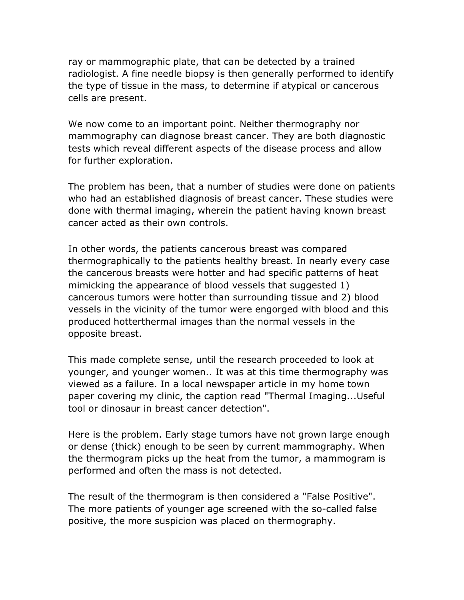ray or mammographic plate, that can be detected by a trained radiologist. A fine needle biopsy is then generally performed to identify the type of tissue in the mass, to determine if atypical or cancerous cells are present.

We now come to an important point. Neither thermography nor mammography can diagnose breast cancer. They are both diagnostic tests which reveal different aspects of the disease process and allow for further exploration.

The problem has been, that a number of studies were done on patients who had an established diagnosis of breast cancer. These studies were done with thermal imaging, wherein the patient having known breast cancer acted as their own controls.

In other words, the patients cancerous breast was compared thermographically to the patients healthy breast. In nearly every case the cancerous breasts were hotter and had specific patterns of heat mimicking the appearance of blood vessels that suggested 1) cancerous tumors were hotter than surrounding tissue and 2) blood vessels in the vicinity of the tumor were engorged with blood and this produced hotterthermal images than the normal vessels in the opposite breast.

This made complete sense, until the research proceeded to look at younger, and younger women.. It was at this time thermography was viewed as a failure. In a local newspaper article in my home town paper covering my clinic, the caption read "Thermal Imaging...Useful tool or dinosaur in breast cancer detection".

Here is the problem. Early stage tumors have not grown large enough or dense (thick) enough to be seen by current mammography. When the thermogram picks up the heat from the tumor, a mammogram is performed and often the mass is not detected.

The result of the thermogram is then considered a "False Positive". The more patients of younger age screened with the so-called false positive, the more suspicion was placed on thermography.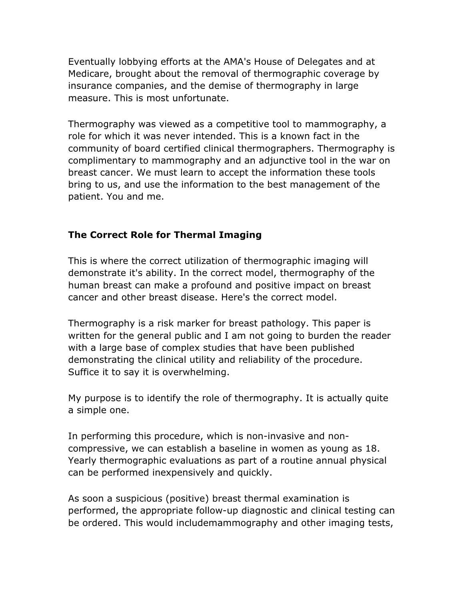Eventually lobbying efforts at the AMA's House of Delegates and at Medicare, brought about the removal of thermographic coverage by insurance companies, and the demise of thermography in large measure. This is most unfortunate.

Thermography was viewed as a competitive tool to mammography, a role for which it was never intended. This is a known fact in the community of board certified clinical thermographers. Thermography is complimentary to mammography and an adjunctive tool in the war on breast cancer. We must learn to accept the information these tools bring to us, and use the information to the best management of the patient. You and me.

## **The Correct Role for Thermal Imaging**

This is where the correct utilization of thermographic imaging will demonstrate it's ability. In the correct model, thermography of the human breast can make a profound and positive impact on breast cancer and other breast disease. Here's the correct model.

Thermography is a risk marker for breast pathology. This paper is written for the general public and I am not going to burden the reader with a large base of complex studies that have been published demonstrating the clinical utility and reliability of the procedure. Suffice it to say it is overwhelming.

My purpose is to identify the role of thermography. It is actually quite a simple one.

In performing this procedure, which is non-invasive and noncompressive, we can establish a baseline in women as young as 18. Yearly thermographic evaluations as part of a routine annual physical can be performed inexpensively and quickly.

As soon a suspicious (positive) breast thermal examination is performed, the appropriate follow-up diagnostic and clinical testing can be ordered. This would includemammography and other imaging tests,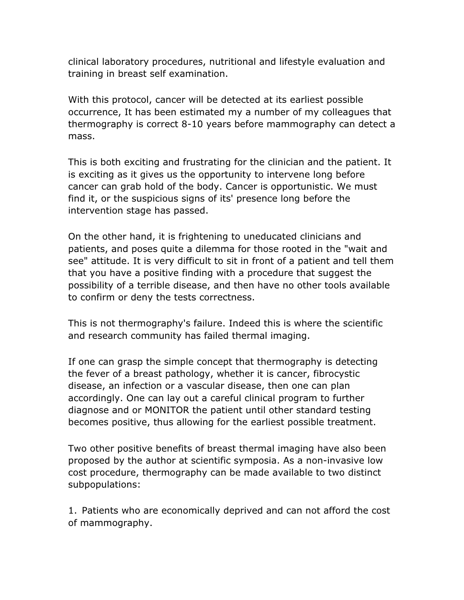clinical laboratory procedures, nutritional and lifestyle evaluation and training in breast self examination.

With this protocol, cancer will be detected at its earliest possible occurrence, It has been estimated my a number of my colleagues that thermography is correct 8-10 years before mammography can detect a mass.

This is both exciting and frustrating for the clinician and the patient. It is exciting as it gives us the opportunity to intervene long before cancer can grab hold of the body. Cancer is opportunistic. We must find it, or the suspicious signs of its' presence long before the intervention stage has passed.

On the other hand, it is frightening to uneducated clinicians and patients, and poses quite a dilemma for those rooted in the "wait and see" attitude. It is very difficult to sit in front of a patient and tell them that you have a positive finding with a procedure that suggest the possibility of a terrible disease, and then have no other tools available to confirm or deny the tests correctness.

This is not thermography's failure. Indeed this is where the scientific and research community has failed thermal imaging.

If one can grasp the simple concept that thermography is detecting the fever of a breast pathology, whether it is cancer, fibrocystic disease, an infection or a vascular disease, then one can plan accordingly. One can lay out a careful clinical program to further diagnose and or MONITOR the patient until other standard testing becomes positive, thus allowing for the earliest possible treatment.

Two other positive benefits of breast thermal imaging have also been proposed by the author at scientific symposia. As a non-invasive low cost procedure, thermography can be made available to two distinct subpopulations:

1. Patients who are economically deprived and can not afford the cost of mammography.